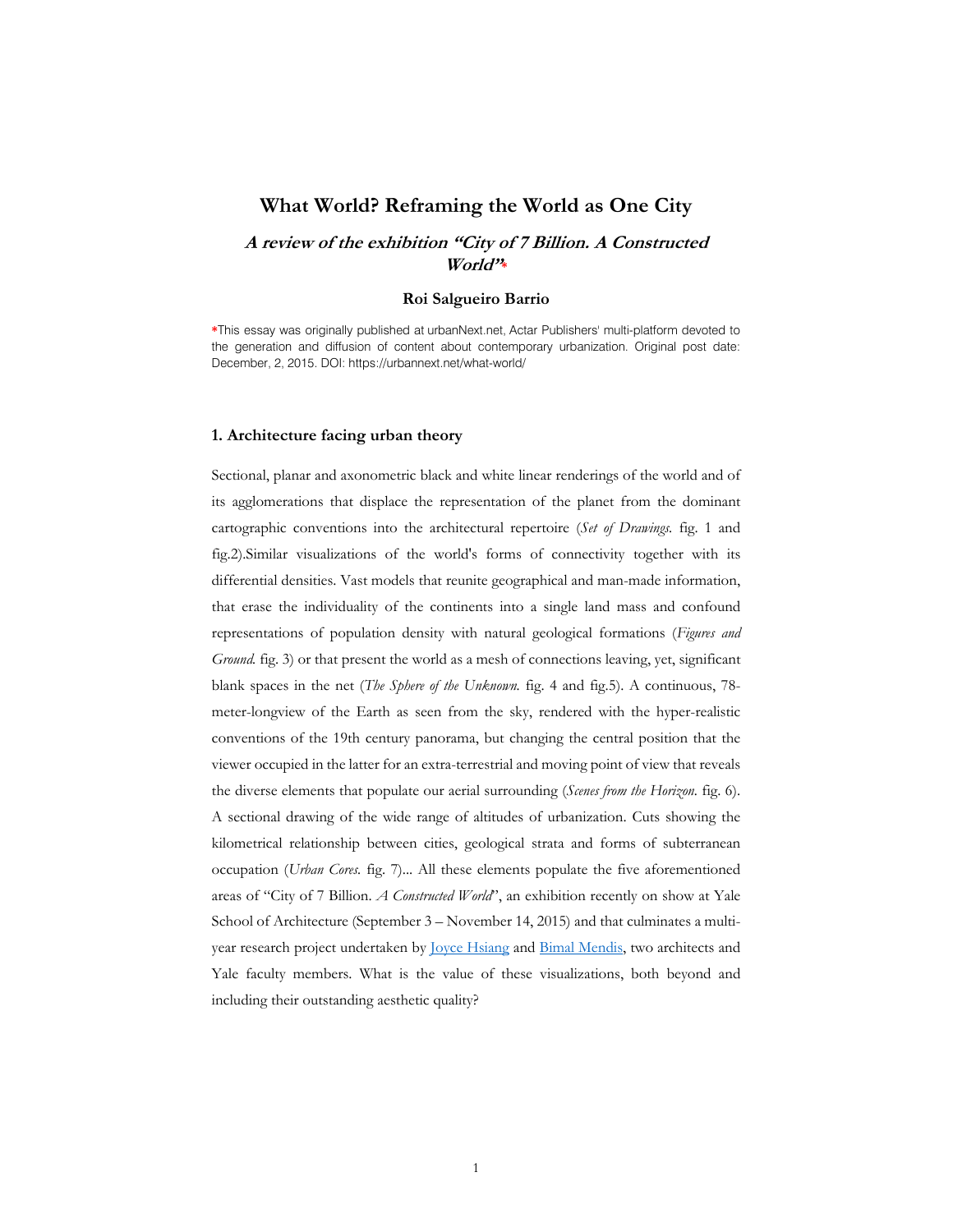# **What World? Reframing the World as One City**

# **A review of the exhibition "City of 7 Billion. A Constructed World"\***

### **Roi Salgueiro Barrio**

**\***This essay was originally published at urbanNext.net, Actar Publishers' multi-platform devoted to the generation and diffusion of content about contemporary urbanization. Original post date: December, 2, 2015. DOI: https://urbannext.net/what-world/

### **1. Architecture facing urban theory**

Sectional, planar and axonometric black and white linear renderings of the world and of its agglomerations that displace the representation of the planet from the dominant cartographic conventions into the architectural repertoire (*Set of Drawings.* fig. 1 and fig.2).Similar visualizations of the world's forms of connectivity together with its differential densities. Vast models that reunite geographical and man-made information, that erase the individuality of the continents into a single land mass and confound representations of population density with natural geological formations (*Figures and Ground.* fig. 3) or that present the world as a mesh of connections leaving, yet, significant blank spaces in the net (*The Sphere of the Unknown.* fig. 4 and fig.5). A continuous, 78 meter-longview of the Earth as seen from the sky, rendered with the hyper-realistic conventions of the 19th century panorama, but changing the central position that the viewer occupied in the latter for an extra-terrestrial and moving point of view that reveals the diverse elements that populate our aerial surrounding (*Scenes from the Horizon.* fig. 6). A sectional drawing of the wide range of altitudes of urbanization. Cuts showing the kilometrical relationship between cities, geological strata and forms of subterranean occupation (*Urban Cores.* fig. 7)... All these elements populate the five aforementioned areas of "City of 7 Billion. *A Constructed World*", an exhibition recently on show at Yale School of Architecture (September 3 – November 14, 2015) and that culminates a multiyear research project undertaken by **Joyce Hsiang and Bimal Mendis**, two architects and Yale faculty members. What is the value of these visualizations, both beyond and including their outstanding aesthetic quality?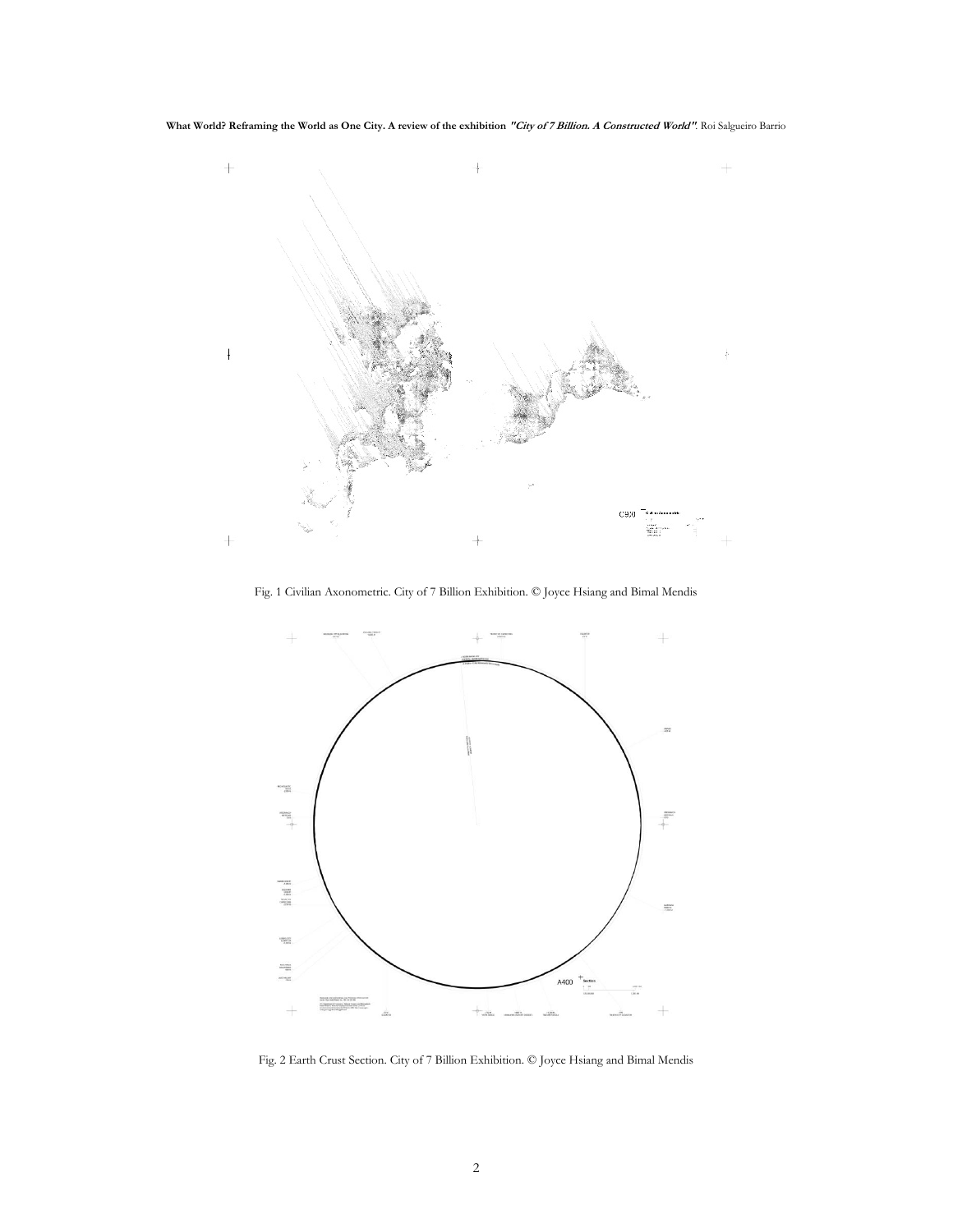**What World? Reframing the World as One City. A review of the exhibition "City of 7 Billion. A Constructed World"***.* Roi Salgueiro Barrio



Fig. 1 Civilian Axonometric. City of 7 Billion Exhibition. © Joyce Hsiang and Bimal Mendis



Fig. 2 Earth Crust Section. City of 7 Billion Exhibition. © Joyce Hsiang and Bimal Mendis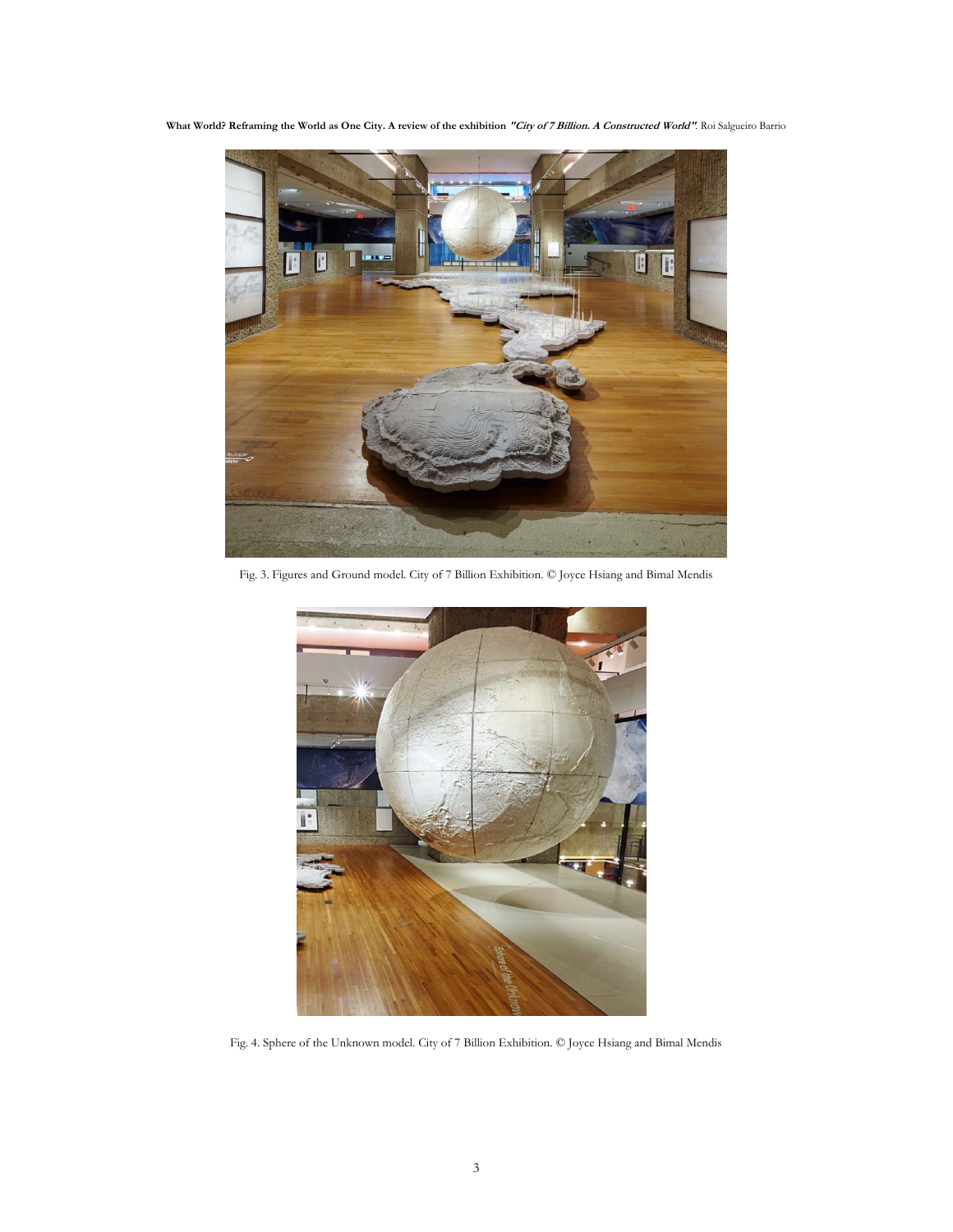**What World? Reframing the World as One City. A review of the exhibition "City of 7 Billion. A Constructed World"***.* Roi Salgueiro Barrio



Fig. 3. Figures and Ground model. City of 7 Billion Exhibition. © Joyce Hsiang and Bimal Mendis



Fig. 4. Sphere of the Unknown model. City of 7 Billion Exhibition. © Joyce Hsiang and Bimal Mendis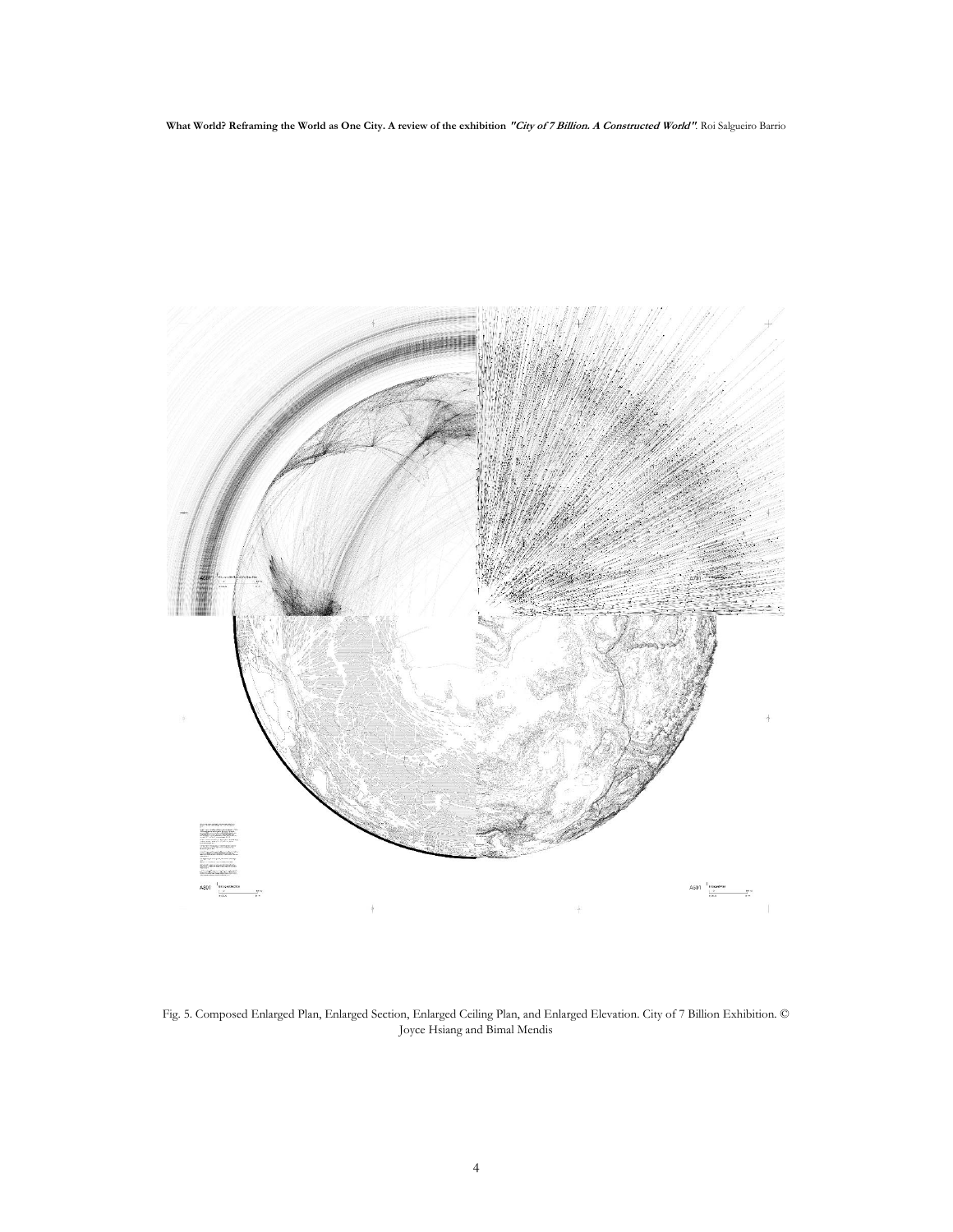

Fig. 5. Composed Enlarged Plan, Enlarged Section, Enlarged Ceiling Plan, and Enlarged Elevation. City of 7 Billion Exhibition. © Joyce Hsiang and Bimal Mendis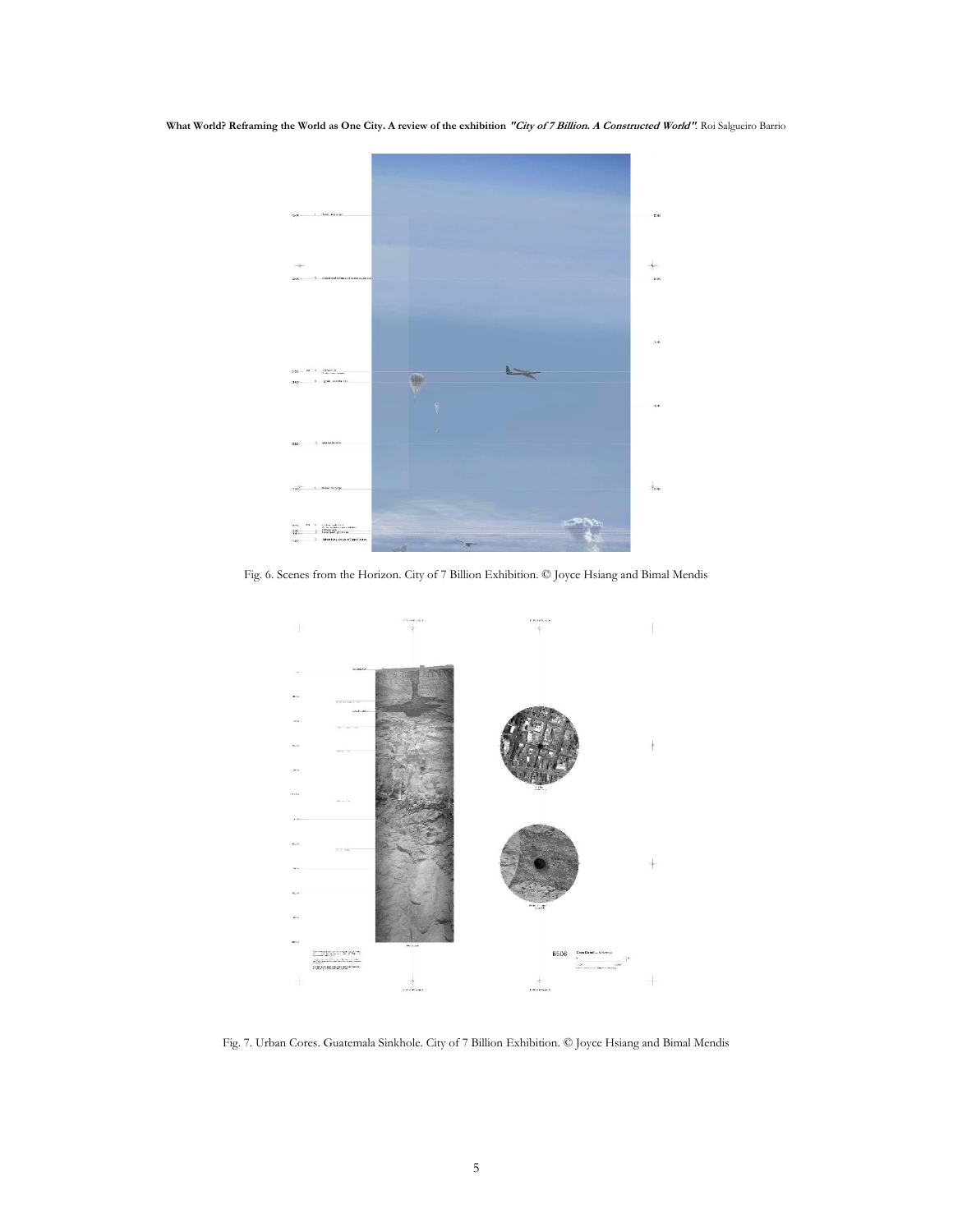**What World? Reframing the World as One City. A review of the exhibition "City of 7 Billion. A Constructed World"***.* Roi Salgueiro Barrio



Fig. 6. Scenes from the Horizon. City of 7 Billion Exhibition. © Joyce Hsiang and Bimal Mendis



Fig. 7. Urban Cores. Guatemala Sinkhole. City of 7 Billion Exhibition. © Joyce Hsiang and Bimal Mendis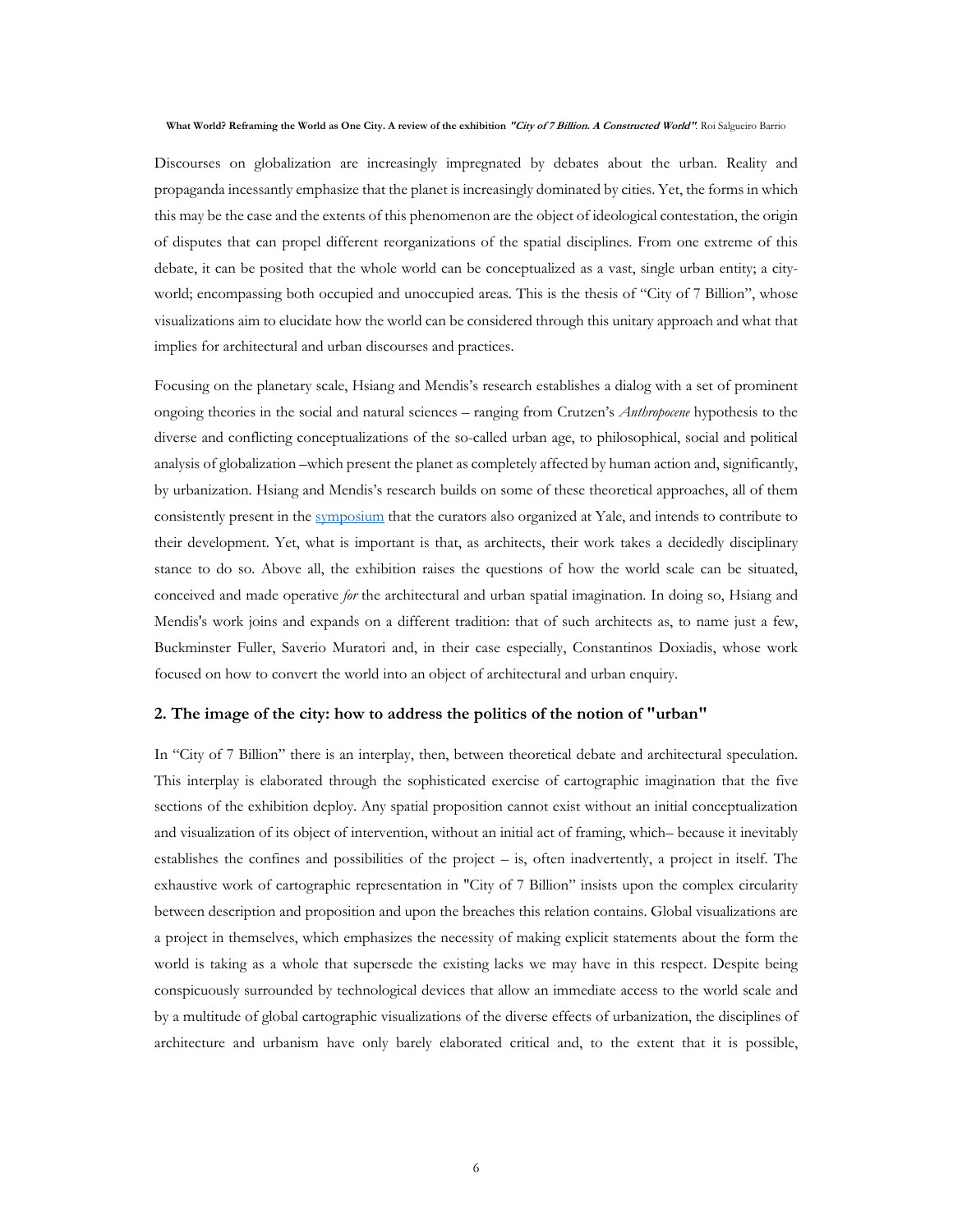Discourses on globalization are increasingly impregnated by debates about the urban. Reality and propaganda incessantly emphasize that the planet is increasingly dominated by cities. Yet, the forms in which this may be the case and the extents of this phenomenon are the object of ideological contestation, the origin of disputes that can propel different reorganizations of the spatial disciplines. From one extreme of this debate, it can be posited that the whole world can be conceptualized as a vast, single urban entity; a cityworld; encompassing both occupied and unoccupied areas. This is the thesis of "City of 7 Billion", whose visualizations aim to elucidate how the world can be considered through this unitary approach and what that implies for architectural and urban discourses and practices.

Focusing on the planetary scale, Hsiang and Mendis's research establishes a dialog with a set of prominent ongoing theories in the social and natural sciences – ranging from Crutzen's *Anthropocene* hypothesis to the diverse and conflicting conceptualizations of the so-called urban age, to philosophical, social and political analysis of globalization –which present the planet as completely affected by human action and, significantly, by urbanization. Hsiang and Mendis's research builds on some of these theoretical approaches, all of them consistently present in the symposium that the curators also organized at Yale, and intends to contribute to their development. Yet, what is important is that, as architects, their work takes a decidedly disciplinary stance to do so. Above all, the exhibition raises the questions of how the world scale can be situated, conceived and made operative *for* the architectural and urban spatial imagination. In doing so, Hsiang and Mendis's work joins and expands on a different tradition: that of such architects as, to name just a few, Buckminster Fuller, Saverio Muratori and, in their case especially, Constantinos Doxiadis, whose work focused on how to convert the world into an object of architectural and urban enquiry.

### **2. The image of the city: how to address the politics of the notion of "urban"**

In "City of 7 Billion" there is an interplay, then, between theoretical debate and architectural speculation. This interplay is elaborated through the sophisticated exercise of cartographic imagination that the five sections of the exhibition deploy. Any spatial proposition cannot exist without an initial conceptualization and visualization of its object of intervention, without an initial act of framing, which– because it inevitably establishes the confines and possibilities of the project – is, often inadvertently, a project in itself. The exhaustive work of cartographic representation in "City of 7 Billion" insists upon the complex circularity between description and proposition and upon the breaches this relation contains. Global visualizations are a project in themselves, which emphasizes the necessity of making explicit statements about the form the world is taking as a whole that supersede the existing lacks we may have in this respect. Despite being conspicuously surrounded by technological devices that allow an immediate access to the world scale and by a multitude of global cartographic visualizations of the diverse effects of urbanization, the disciplines of architecture and urbanism have only barely elaborated critical and, to the extent that it is possible,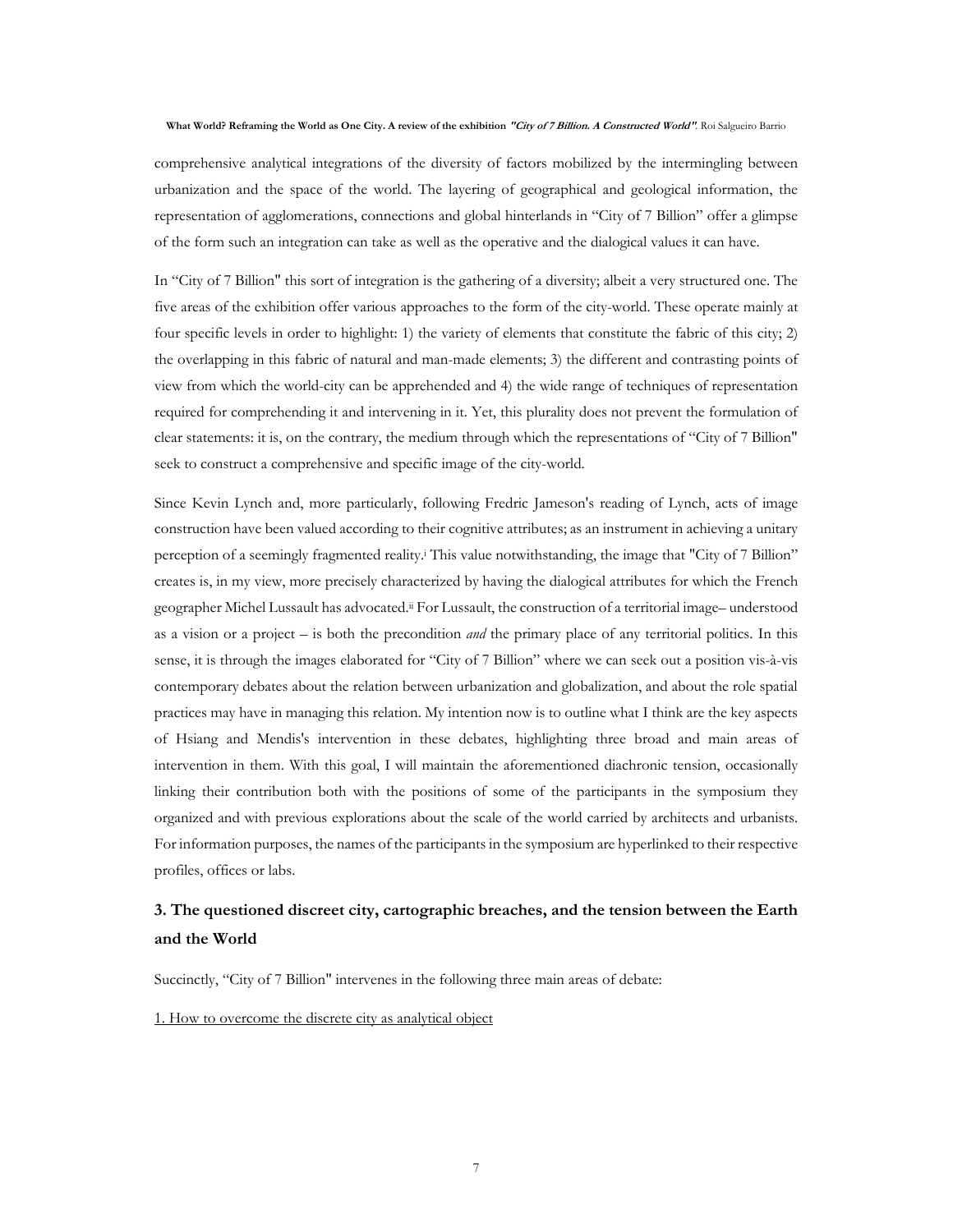comprehensive analytical integrations of the diversity of factors mobilized by the intermingling between urbanization and the space of the world. The layering of geographical and geological information, the representation of agglomerations, connections and global hinterlands in "City of 7 Billion" offer a glimpse of the form such an integration can take as well as the operative and the dialogical values it can have.

In "City of 7 Billion" this sort of integration is the gathering of a diversity; albeit a very structured one. The five areas of the exhibition offer various approaches to the form of the city-world. These operate mainly at four specific levels in order to highlight: 1) the variety of elements that constitute the fabric of this city; 2) the overlapping in this fabric of natural and man-made elements; 3) the different and contrasting points of view from which the world-city can be apprehended and 4) the wide range of techniques of representation required for comprehending it and intervening in it. Yet, this plurality does not prevent the formulation of clear statements: it is, on the contrary, the medium through which the representations of "City of 7 Billion" seek to construct a comprehensive and specific image of the city-world.

Since Kevin Lynch and, more particularly, following Fredric Jameson's reading of Lynch, acts of image construction have been valued according to their cognitive attributes; as an instrument in achieving a unitary perception of a seemingly fragmented reality.<sup>i</sup> This value notwithstanding, the image that "City of 7 Billion" creates is, in my view, more precisely characterized by having the dialogical attributes for which the French geographer Michel Lussault has advocated.ii For Lussault, the construction of a territorial image– understood as a vision or a project – is both the precondition *and* the primary place of any territorial politics. In this sense, it is through the images elaborated for "City of 7 Billion" where we can seek out a position vis-à-vis contemporary debates about the relation between urbanization and globalization, and about the role spatial practices may have in managing this relation. My intention now is to outline what I think are the key aspects of Hsiang and Mendis's intervention in these debates, highlighting three broad and main areas of intervention in them. With this goal, I will maintain the aforementioned diachronic tension, occasionally linking their contribution both with the positions of some of the participants in the symposium they organized and with previous explorations about the scale of the world carried by architects and urbanists. For information purposes, the names of the participants in the symposium are hyperlinked to their respective profiles, offices or labs.

# **3. The questioned discreet city, cartographic breaches, and the tension between the Earth and the World**

Succinctly, "City of 7 Billion" intervenes in the following three main areas of debate:

1. How to overcome the discrete city as analytical object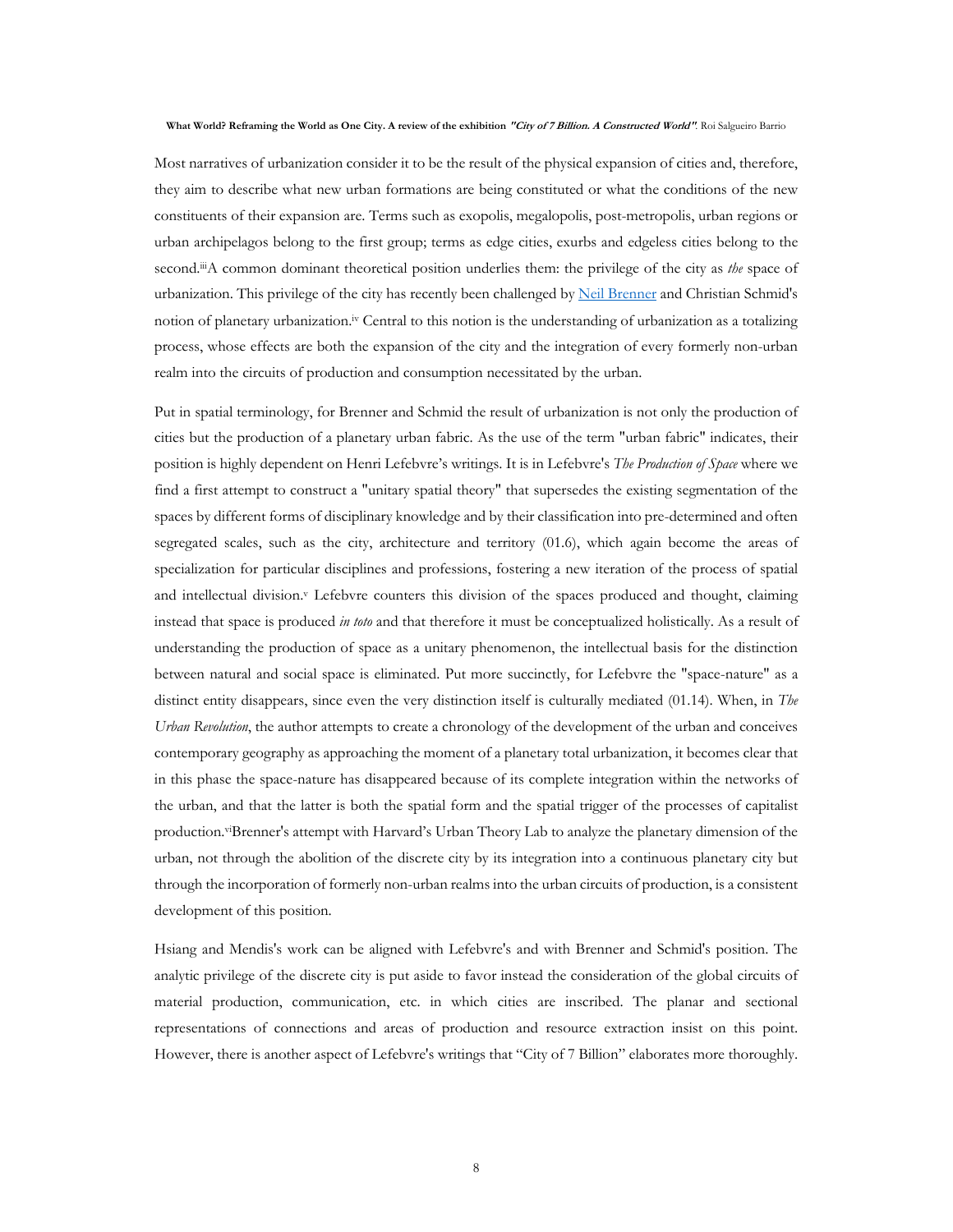Most narratives of urbanization consider it to be the result of the physical expansion of cities and, therefore, they aim to describe what new urban formations are being constituted or what the conditions of the new constituents of their expansion are. Terms such as exopolis, megalopolis, post-metropolis, urban regions or urban archipelagos belong to the first group; terms as edge cities, exurbs and edgeless cities belong to the second.iiiA common dominant theoretical position underlies them: the privilege of the city as *the* space of urbanization. This privilege of the city has recently been challenged by Neil Brenner and Christian Schmid's notion of planetary urbanization.iv Central to this notion is the understanding of urbanization as a totalizing process, whose effects are both the expansion of the city and the integration of every formerly non-urban realm into the circuits of production and consumption necessitated by the urban.

Put in spatial terminology, for Brenner and Schmid the result of urbanization is not only the production of cities but the production of a planetary urban fabric. As the use of the term "urban fabric" indicates, their position is highly dependent on Henri Lefebvre's writings. It is in Lefebvre's *The Production of Space* where we find a first attempt to construct a "unitary spatial theory" that supersedes the existing segmentation of the spaces by different forms of disciplinary knowledge and by their classification into pre-determined and often segregated scales, such as the city, architecture and territory (01.6), which again become the areas of specialization for particular disciplines and professions, fostering a new iteration of the process of spatial and intellectual division.<sup>v</sup> Lefebvre counters this division of the spaces produced and thought, claiming instead that space is produced *in toto* and that therefore it must be conceptualized holistically. As a result of understanding the production of space as a unitary phenomenon, the intellectual basis for the distinction between natural and social space is eliminated. Put more succinctly, for Lefebvre the "space-nature" as a distinct entity disappears, since even the very distinction itself is culturally mediated (01.14). When, in *The Urban Revolution*, the author attempts to create a chronology of the development of the urban and conceives contemporary geography as approaching the moment of a planetary total urbanization, it becomes clear that in this phase the space-nature has disappeared because of its complete integration within the networks of the urban, and that the latter is both the spatial form and the spatial trigger of the processes of capitalist production.<sup>vi</sup>Brenner's attempt with Harvard's Urban Theory Lab to analyze the planetary dimension of the urban, not through the abolition of the discrete city by its integration into a continuous planetary city but through the incorporation of formerly non-urban realms into the urban circuits of production, is a consistent development of this position.

Hsiang and Mendis's work can be aligned with Lefebvre's and with Brenner and Schmid's position. The analytic privilege of the discrete city is put aside to favor instead the consideration of the global circuits of material production, communication, etc. in which cities are inscribed. The planar and sectional representations of connections and areas of production and resource extraction insist on this point. However, there is another aspect of Lefebvre's writings that "City of 7 Billion" elaborates more thoroughly.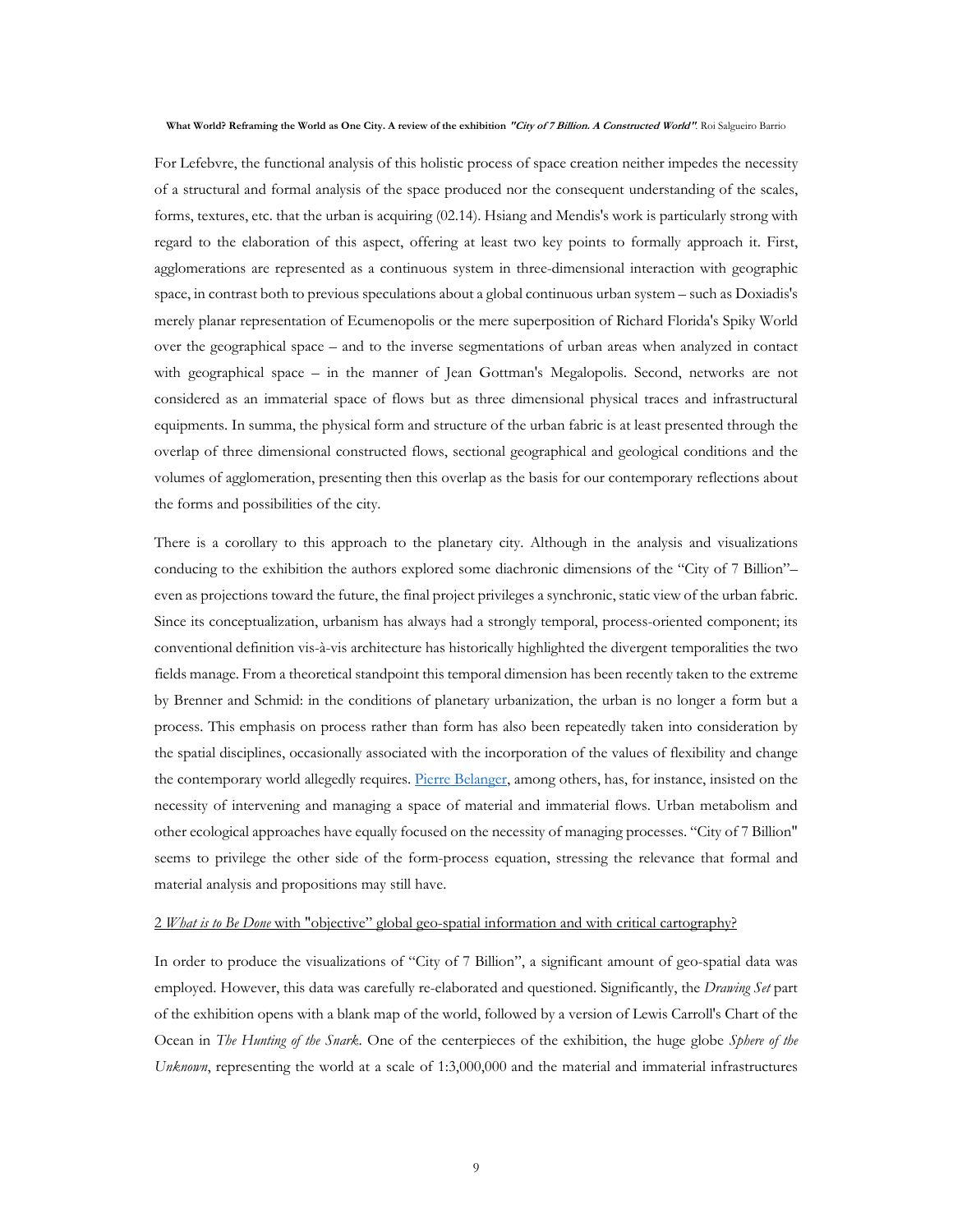For Lefebvre, the functional analysis of this holistic process of space creation neither impedes the necessity of a structural and formal analysis of the space produced nor the consequent understanding of the scales, forms, textures, etc. that the urban is acquiring (02.14). Hsiang and Mendis's work is particularly strong with regard to the elaboration of this aspect, offering at least two key points to formally approach it. First, agglomerations are represented as a continuous system in three-dimensional interaction with geographic space, in contrast both to previous speculations about a global continuous urban system – such as Doxiadis's merely planar representation of Ecumenopolis or the mere superposition of Richard Florida's Spiky World over the geographical space – and to the inverse segmentations of urban areas when analyzed in contact with geographical space – in the manner of Jean Gottman's Megalopolis. Second, networks are not considered as an immaterial space of flows but as three dimensional physical traces and infrastructural equipments. In summa, the physical form and structure of the urban fabric is at least presented through the overlap of three dimensional constructed flows, sectional geographical and geological conditions and the volumes of agglomeration, presenting then this overlap as the basis for our contemporary reflections about the forms and possibilities of the city.

There is a corollary to this approach to the planetary city. Although in the analysis and visualizations conducing to the exhibition the authors explored some diachronic dimensions of the "City of 7 Billion"– even as projections toward the future, the final project privileges a synchronic, static view of the urban fabric. Since its conceptualization, urbanism has always had a strongly temporal, process-oriented component; its conventional definition vis-à-vis architecture has historically highlighted the divergent temporalities the two fields manage. From a theoretical standpoint this temporal dimension has been recently taken to the extreme by Brenner and Schmid: in the conditions of planetary urbanization, the urban is no longer a form but a process. This emphasis on process rather than form has also been repeatedly taken into consideration by the spatial disciplines, occasionally associated with the incorporation of the values of flexibility and change the contemporary world allegedly requires. Pierre Belanger, among others, has, for instance, insisted on the necessity of intervening and managing a space of material and immaterial flows. Urban metabolism and other ecological approaches have equally focused on the necessity of managing processes. "City of 7 Billion" seems to privilege the other side of the form-process equation, stressing the relevance that formal and material analysis and propositions may still have.

### 2 *What is to Be Done* with "objective" global geo-spatial information and with critical cartography?

In order to produce the visualizations of "City of 7 Billion", a significant amount of geo-spatial data was employed. However, this data was carefully re-elaborated and questioned. Significantly, the *Drawing Set* part of the exhibition opens with a blank map of the world, followed by a version of Lewis Carroll's Chart of the Ocean in *The Hunting of the Snark*. One of the centerpieces of the exhibition, the huge globe *Sphere of the Unknown*, representing the world at a scale of 1:3,000,000 and the material and immaterial infrastructures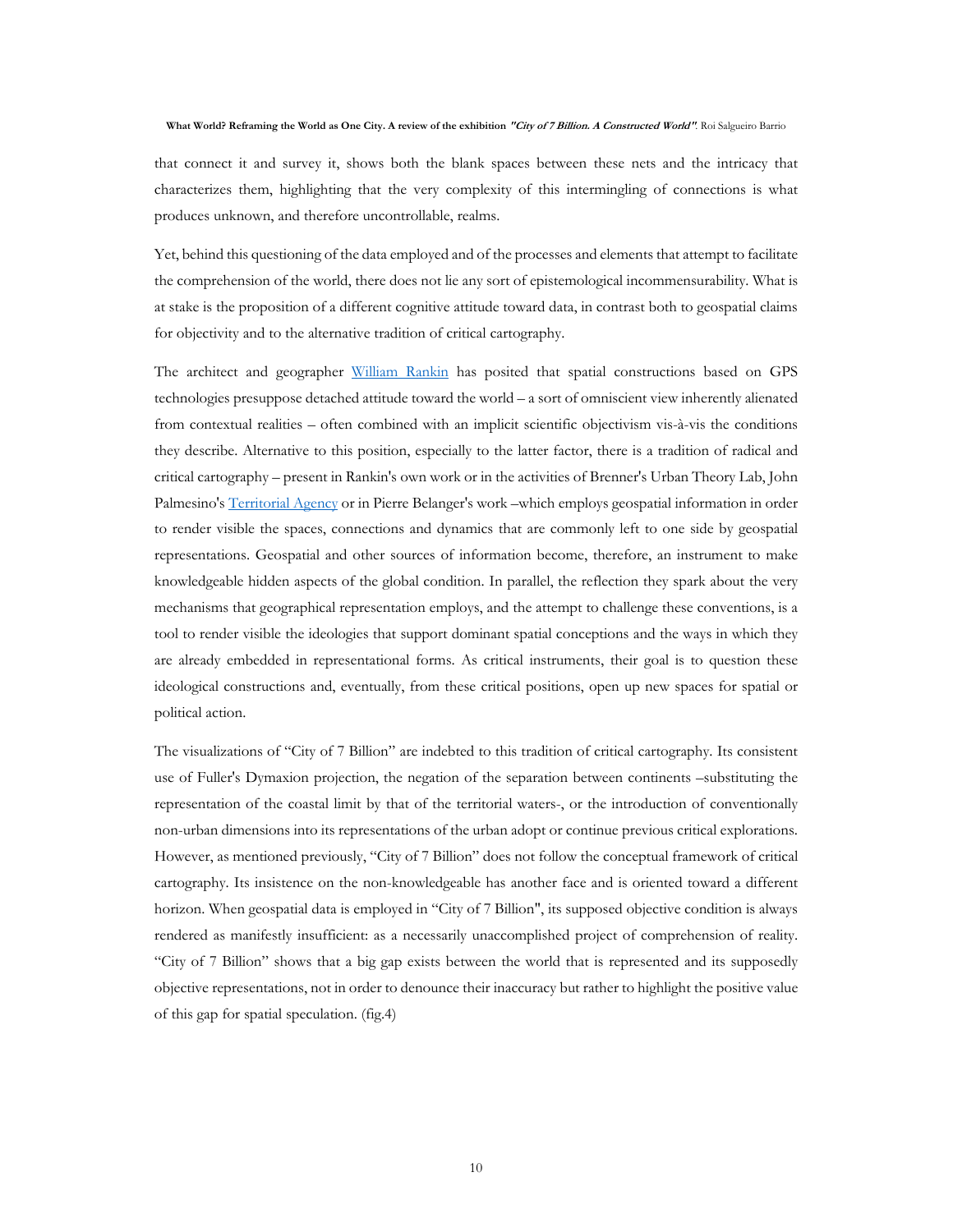that connect it and survey it, shows both the blank spaces between these nets and the intricacy that characterizes them, highlighting that the very complexity of this intermingling of connections is what produces unknown, and therefore uncontrollable, realms.

Yet, behind this questioning of the data employed and of the processes and elements that attempt to facilitate the comprehension of the world, there does not lie any sort of epistemological incommensurability. What is at stake is the proposition of a different cognitive attitude toward data, in contrast both to geospatial claims for objectivity and to the alternative tradition of critical cartography.

The architect and geographer William Rankin has posited that spatial constructions based on GPS technologies presuppose detached attitude toward the world – a sort of omniscient view inherently alienated from contextual realities – often combined with an implicit scientific objectivism vis-à-vis the conditions they describe. Alternative to this position, especially to the latter factor, there is a tradition of radical and critical cartography – present in Rankin's own work or in the activities of Brenner's Urban Theory Lab, John Palmesino's Territorial Agency or in Pierre Belanger's work –which employs geospatial information in order to render visible the spaces, connections and dynamics that are commonly left to one side by geospatial representations. Geospatial and other sources of information become, therefore, an instrument to make knowledgeable hidden aspects of the global condition. In parallel, the reflection they spark about the very mechanisms that geographical representation employs, and the attempt to challenge these conventions, is a tool to render visible the ideologies that support dominant spatial conceptions and the ways in which they are already embedded in representational forms. As critical instruments, their goal is to question these ideological constructions and, eventually, from these critical positions, open up new spaces for spatial or political action.

The visualizations of "City of 7 Billion" are indebted to this tradition of critical cartography. Its consistent use of Fuller's Dymaxion projection, the negation of the separation between continents –substituting the representation of the coastal limit by that of the territorial waters-, or the introduction of conventionally non-urban dimensions into its representations of the urban adopt or continue previous critical explorations. However, as mentioned previously, "City of 7 Billion" does not follow the conceptual framework of critical cartography. Its insistence on the non-knowledgeable has another face and is oriented toward a different horizon. When geospatial data is employed in "City of 7 Billion", its supposed objective condition is always rendered as manifestly insufficient: as a necessarily unaccomplished project of comprehension of reality. "City of 7 Billion" shows that a big gap exists between the world that is represented and its supposedly objective representations, not in order to denounce their inaccuracy but rather to highlight the positive value of this gap for spatial speculation. (fig.4)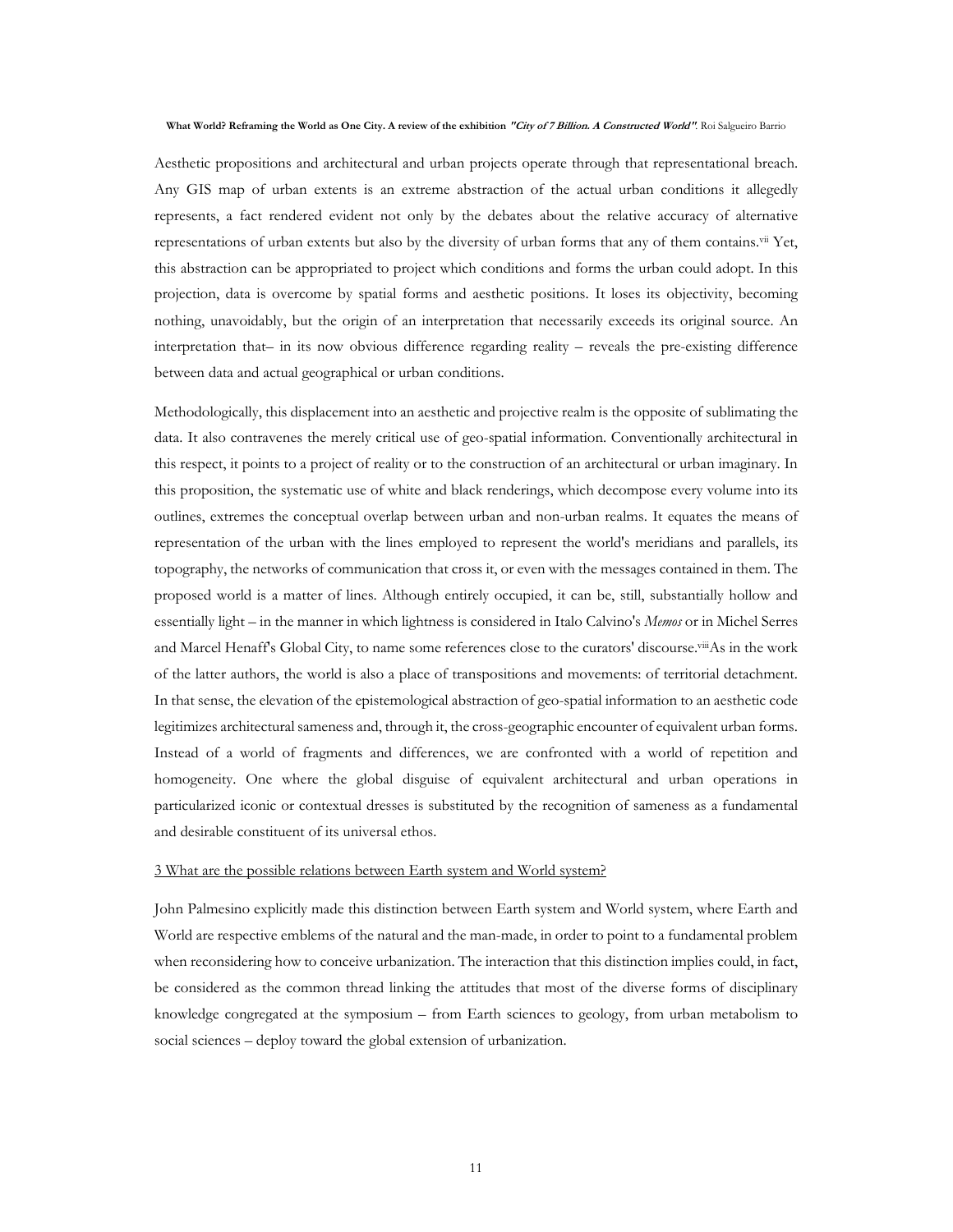Aesthetic propositions and architectural and urban projects operate through that representational breach. Any GIS map of urban extents is an extreme abstraction of the actual urban conditions it allegedly represents, a fact rendered evident not only by the debates about the relative accuracy of alternative representations of urban extents but also by the diversity of urban forms that any of them contains.vii Yet, this abstraction can be appropriated to project which conditions and forms the urban could adopt. In this projection, data is overcome by spatial forms and aesthetic positions. It loses its objectivity, becoming nothing, unavoidably, but the origin of an interpretation that necessarily exceeds its original source. An interpretation that– in its now obvious difference regarding reality – reveals the pre-existing difference between data and actual geographical or urban conditions.

Methodologically, this displacement into an aesthetic and projective realm is the opposite of sublimating the data. It also contravenes the merely critical use of geo-spatial information. Conventionally architectural in this respect, it points to a project of reality or to the construction of an architectural or urban imaginary. In this proposition, the systematic use of white and black renderings, which decompose every volume into its outlines, extremes the conceptual overlap between urban and non-urban realms. It equates the means of representation of the urban with the lines employed to represent the world's meridians and parallels, its topography, the networks of communication that cross it, or even with the messages contained in them. The proposed world is a matter of lines. Although entirely occupied, it can be, still, substantially hollow and essentially light – in the manner in which lightness is considered in Italo Calvino's *Memos* or in Michel Serres and Marcel Henaff's Global City, to name some references close to the curators' discourse.<sup>viii</sup>As in the work of the latter authors, the world is also a place of transpositions and movements: of territorial detachment. In that sense, the elevation of the epistemological abstraction of geo-spatial information to an aesthetic code legitimizes architectural sameness and, through it, the cross-geographic encounter of equivalent urban forms. Instead of a world of fragments and differences, we are confronted with a world of repetition and homogeneity. One where the global disguise of equivalent architectural and urban operations in particularized iconic or contextual dresses is substituted by the recognition of sameness as a fundamental and desirable constituent of its universal ethos.

### 3 What are the possible relations between Earth system and World system?

John Palmesino explicitly made this distinction between Earth system and World system, where Earth and World are respective emblems of the natural and the man-made, in order to point to a fundamental problem when reconsidering how to conceive urbanization. The interaction that this distinction implies could, in fact, be considered as the common thread linking the attitudes that most of the diverse forms of disciplinary knowledge congregated at the symposium – from Earth sciences to geology, from urban metabolism to social sciences – deploy toward the global extension of urbanization.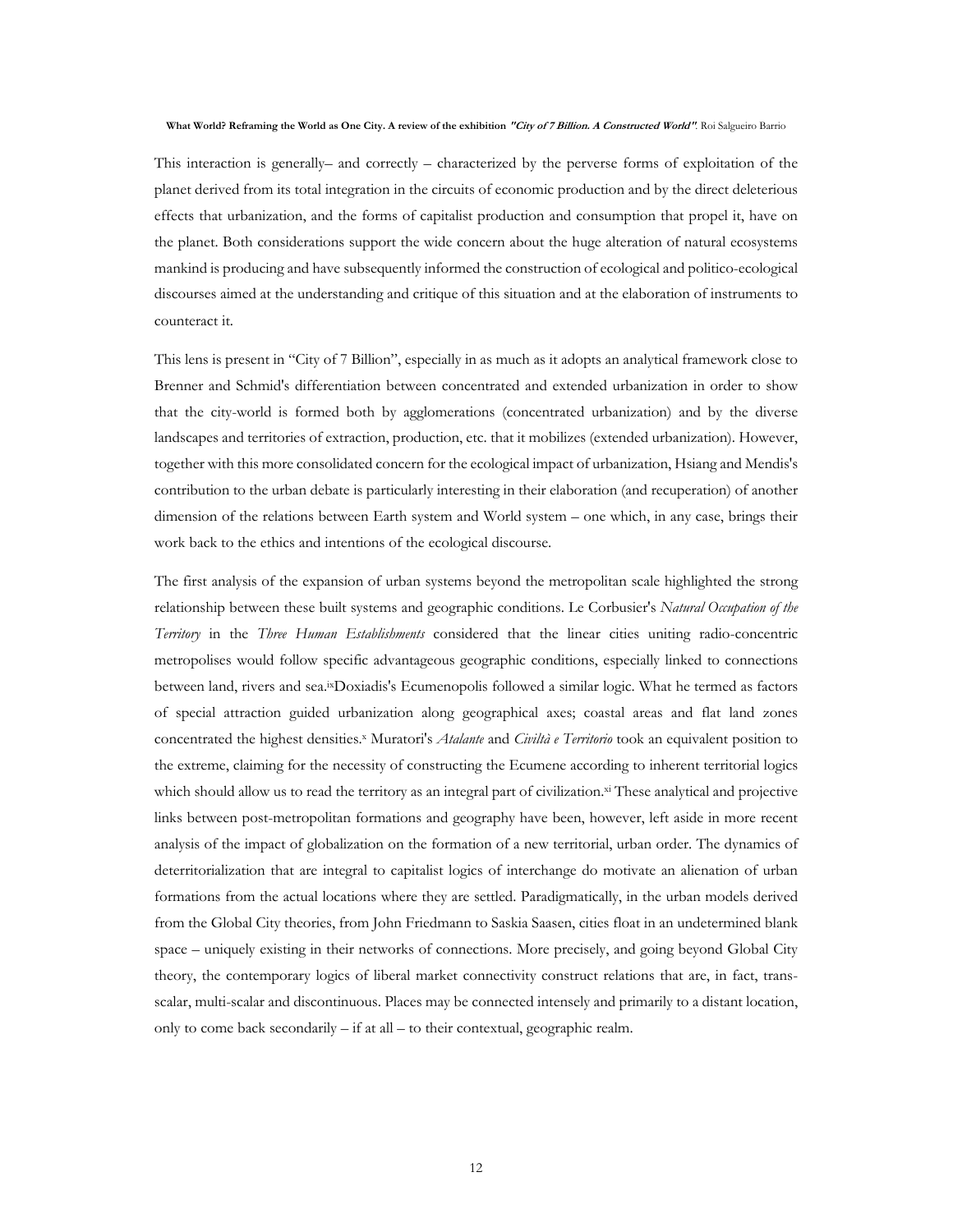This interaction is generally– and correctly – characterized by the perverse forms of exploitation of the planet derived from its total integration in the circuits of economic production and by the direct deleterious effects that urbanization, and the forms of capitalist production and consumption that propel it, have on the planet. Both considerations support the wide concern about the huge alteration of natural ecosystems mankind is producing and have subsequently informed the construction of ecological and politico-ecological discourses aimed at the understanding and critique of this situation and at the elaboration of instruments to counteract it.

This lens is present in "City of 7 Billion", especially in as much as it adopts an analytical framework close to Brenner and Schmid's differentiation between concentrated and extended urbanization in order to show that the city-world is formed both by agglomerations (concentrated urbanization) and by the diverse landscapes and territories of extraction, production, etc. that it mobilizes (extended urbanization). However, together with this more consolidated concern for the ecological impact of urbanization, Hsiang and Mendis's contribution to the urban debate is particularly interesting in their elaboration (and recuperation) of another dimension of the relations between Earth system and World system – one which, in any case, brings their work back to the ethics and intentions of the ecological discourse.

The first analysis of the expansion of urban systems beyond the metropolitan scale highlighted the strong relationship between these built systems and geographic conditions. Le Corbusier's *Natural Occupation of the Territory* in the *Three Human Establishments* considered that the linear cities uniting radio-concentric metropolises would follow specific advantageous geographic conditions, especially linked to connections between land, rivers and sea.ixDoxiadis's Ecumenopolis followed a similar logic. What he termed as factors of special attraction guided urbanization along geographical axes; coastal areas and flat land zones concentrated the highest densities.<sup>x</sup> Muratori's *Atalante* and *Civiltà e Territorio* took an equivalent position to the extreme, claiming for the necessity of constructing the Ecumene according to inherent territorial logics which should allow us to read the territory as an integral part of civilization.<sup>xi</sup> These analytical and projective links between post-metropolitan formations and geography have been, however, left aside in more recent analysis of the impact of globalization on the formation of a new territorial, urban order. The dynamics of deterritorialization that are integral to capitalist logics of interchange do motivate an alienation of urban formations from the actual locations where they are settled. Paradigmatically, in the urban models derived from the Global City theories, from John Friedmann to Saskia Saasen, cities float in an undetermined blank space – uniquely existing in their networks of connections. More precisely, and going beyond Global City theory, the contemporary logics of liberal market connectivity construct relations that are, in fact, transscalar, multi-scalar and discontinuous. Places may be connected intensely and primarily to a distant location, only to come back secondarily – if at all – to their contextual, geographic realm.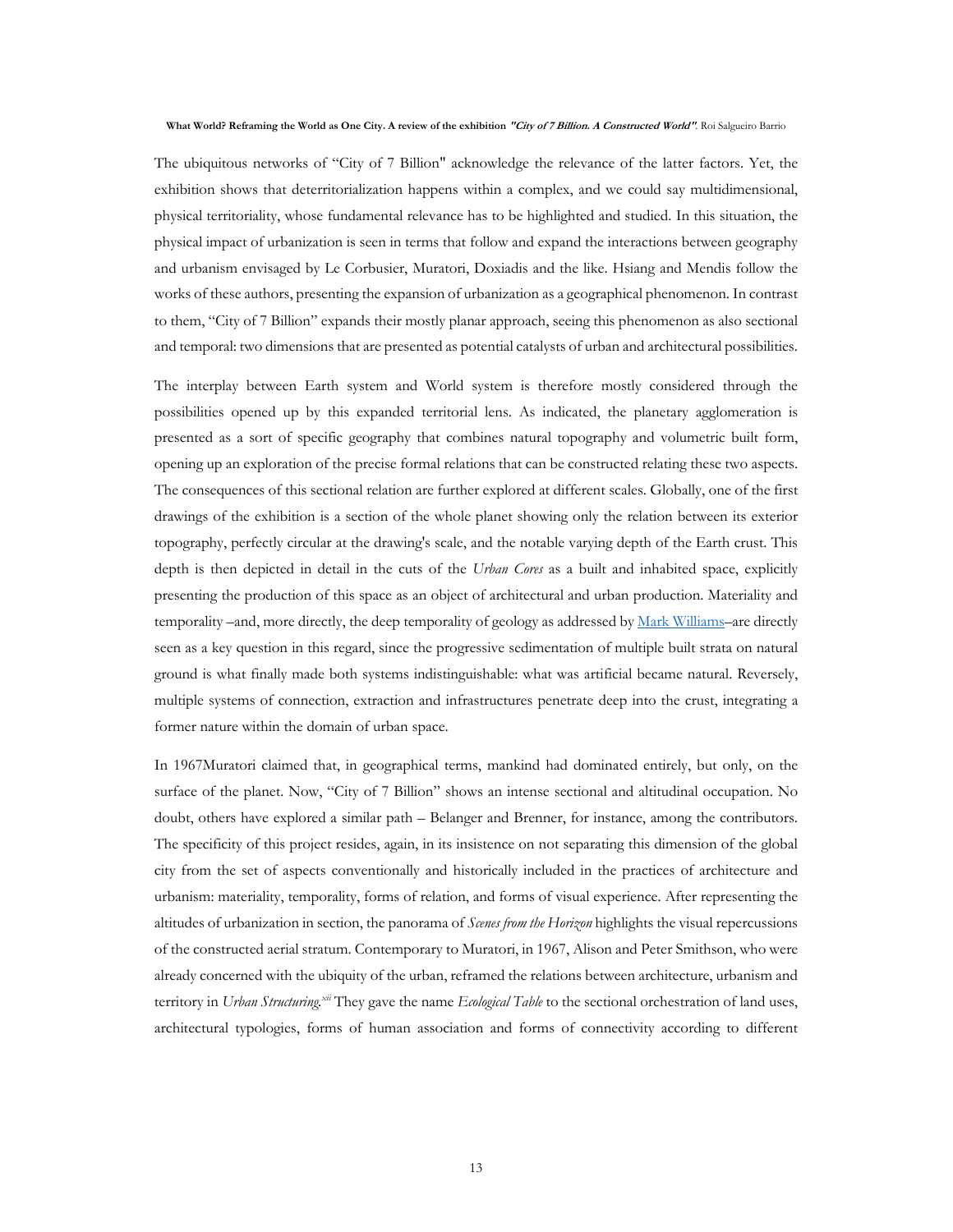The ubiquitous networks of "City of 7 Billion" acknowledge the relevance of the latter factors. Yet, the exhibition shows that deterritorialization happens within a complex, and we could say multidimensional, physical territoriality, whose fundamental relevance has to be highlighted and studied. In this situation, the physical impact of urbanization is seen in terms that follow and expand the interactions between geography and urbanism envisaged by Le Corbusier, Muratori, Doxiadis and the like. Hsiang and Mendis follow the works of these authors, presenting the expansion of urbanization as a geographical phenomenon. In contrast to them, "City of 7 Billion" expands their mostly planar approach, seeing this phenomenon as also sectional and temporal: two dimensions that are presented as potential catalysts of urban and architectural possibilities.

The interplay between Earth system and World system is therefore mostly considered through the possibilities opened up by this expanded territorial lens. As indicated, the planetary agglomeration is presented as a sort of specific geography that combines natural topography and volumetric built form, opening up an exploration of the precise formal relations that can be constructed relating these two aspects. The consequences of this sectional relation are further explored at different scales. Globally, one of the first drawings of the exhibition is a section of the whole planet showing only the relation between its exterior topography, perfectly circular at the drawing's scale, and the notable varying depth of the Earth crust. This depth is then depicted in detail in the cuts of the *Urban Cores* as a built and inhabited space, explicitly presenting the production of this space as an object of architectural and urban production. Materiality and temporality –and, more directly, the deep temporality of geology as addressed by Mark Williams–are directly seen as a key question in this regard, since the progressive sedimentation of multiple built strata on natural ground is what finally made both systems indistinguishable: what was artificial became natural. Reversely, multiple systems of connection, extraction and infrastructures penetrate deep into the crust, integrating a former nature within the domain of urban space.

In 1967Muratori claimed that, in geographical terms, mankind had dominated entirely, but only, on the surface of the planet. Now, "City of 7 Billion" shows an intense sectional and altitudinal occupation. No doubt, others have explored a similar path – Belanger and Brenner, for instance, among the contributors. The specificity of this project resides, again, in its insistence on not separating this dimension of the global city from the set of aspects conventionally and historically included in the practices of architecture and urbanism: materiality, temporality, forms of relation, and forms of visual experience. After representing the altitudes of urbanization in section, the panorama of *Scenes from the Horizon* highlights the visual repercussions of the constructed aerial stratum. Contemporary to Muratori, in 1967, Alison and Peter Smithson, who were already concerned with the ubiquity of the urban, reframed the relations between architecture, urbanism and territory in *Urban Structuring.xii* They gave the name *Ecological Table* to the sectional orchestration of land uses, architectural typologies, forms of human association and forms of connectivity according to different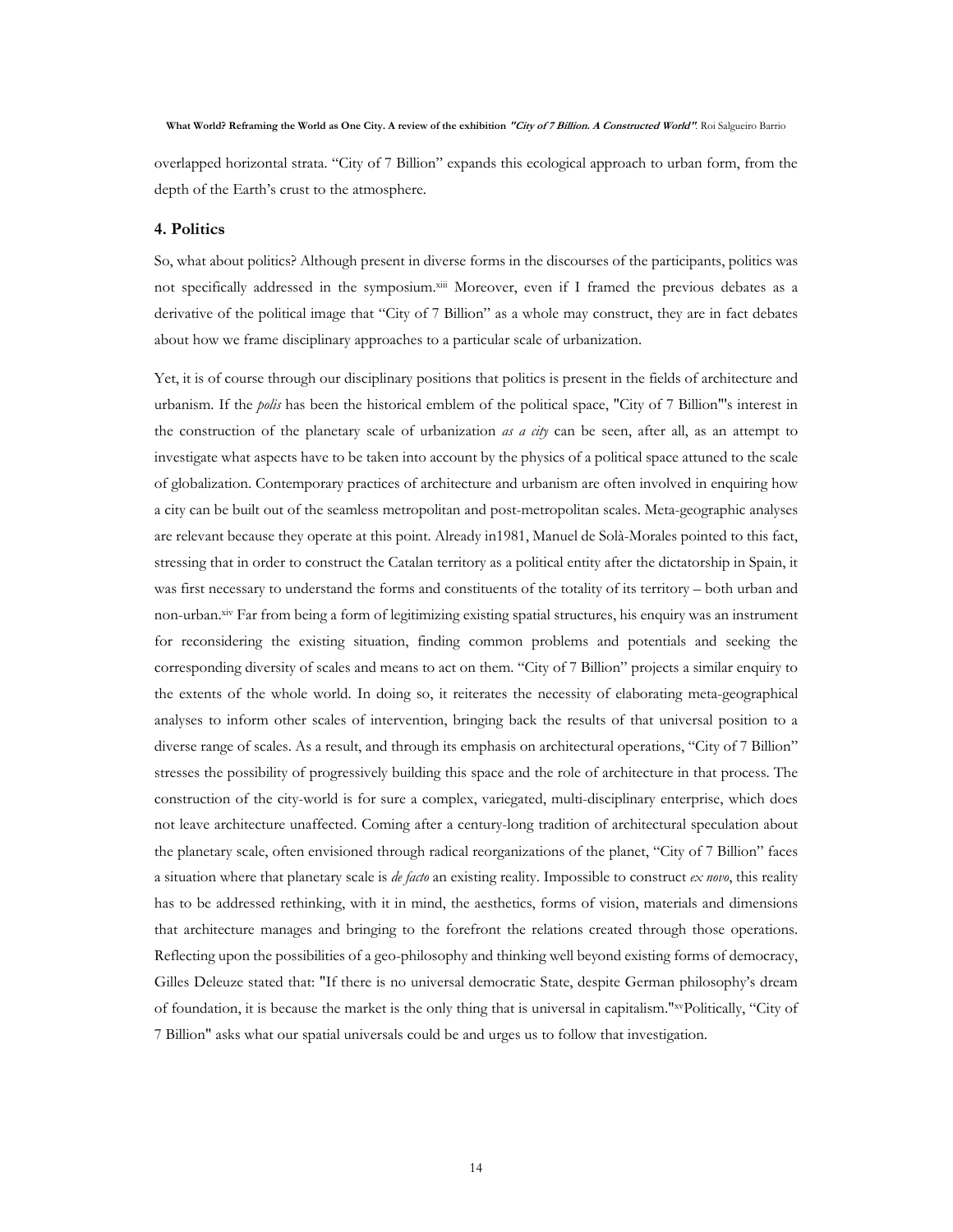overlapped horizontal strata. "City of 7 Billion" expands this ecological approach to urban form, from the depth of the Earth's crust to the atmosphere.

### **4. Politics**

So, what about politics? Although present in diverse forms in the discourses of the participants, politics was not specifically addressed in the symposium.xiii Moreover, even if I framed the previous debates as a derivative of the political image that "City of 7 Billion" as a whole may construct, they are in fact debates about how we frame disciplinary approaches to a particular scale of urbanization.

Yet, it is of course through our disciplinary positions that politics is present in the fields of architecture and urbanism. If the *polis* has been the historical emblem of the political space, "City of 7 Billion"'s interest in the construction of the planetary scale of urbanization *as a city* can be seen, after all, as an attempt to investigate what aspects have to be taken into account by the physics of a political space attuned to the scale of globalization. Contemporary practices of architecture and urbanism are often involved in enquiring how a city can be built out of the seamless metropolitan and post-metropolitan scales. Meta-geographic analyses are relevant because they operate at this point. Already in1981, Manuel de Solà-Morales pointed to this fact, stressing that in order to construct the Catalan territory as a political entity after the dictatorship in Spain, it was first necessary to understand the forms and constituents of the totality of its territory – both urban and non-urban.xiv Far from being a form of legitimizing existing spatial structures, his enquiry was an instrument for reconsidering the existing situation, finding common problems and potentials and seeking the corresponding diversity of scales and means to act on them. "City of 7 Billion" projects a similar enquiry to the extents of the whole world. In doing so, it reiterates the necessity of elaborating meta-geographical analyses to inform other scales of intervention, bringing back the results of that universal position to a diverse range of scales. As a result, and through its emphasis on architectural operations, "City of 7 Billion" stresses the possibility of progressively building this space and the role of architecture in that process. The construction of the city-world is for sure a complex, variegated, multi-disciplinary enterprise, which does not leave architecture unaffected. Coming after a century-long tradition of architectural speculation about the planetary scale, often envisioned through radical reorganizations of the planet, "City of 7 Billion" faces a situation where that planetary scale is *de facto* an existing reality. Impossible to construct *ex novo*, this reality has to be addressed rethinking, with it in mind, the aesthetics, forms of vision, materials and dimensions that architecture manages and bringing to the forefront the relations created through those operations. Reflecting upon the possibilities of a geo-philosophy and thinking well beyond existing forms of democracy, Gilles Deleuze stated that: "If there is no universal democratic State, despite German philosophy's dream of foundation, it is because the market is the only thing that is universal in capitalism."xvPolitically, "City of 7 Billion" asks what our spatial universals could be and urges us to follow that investigation.